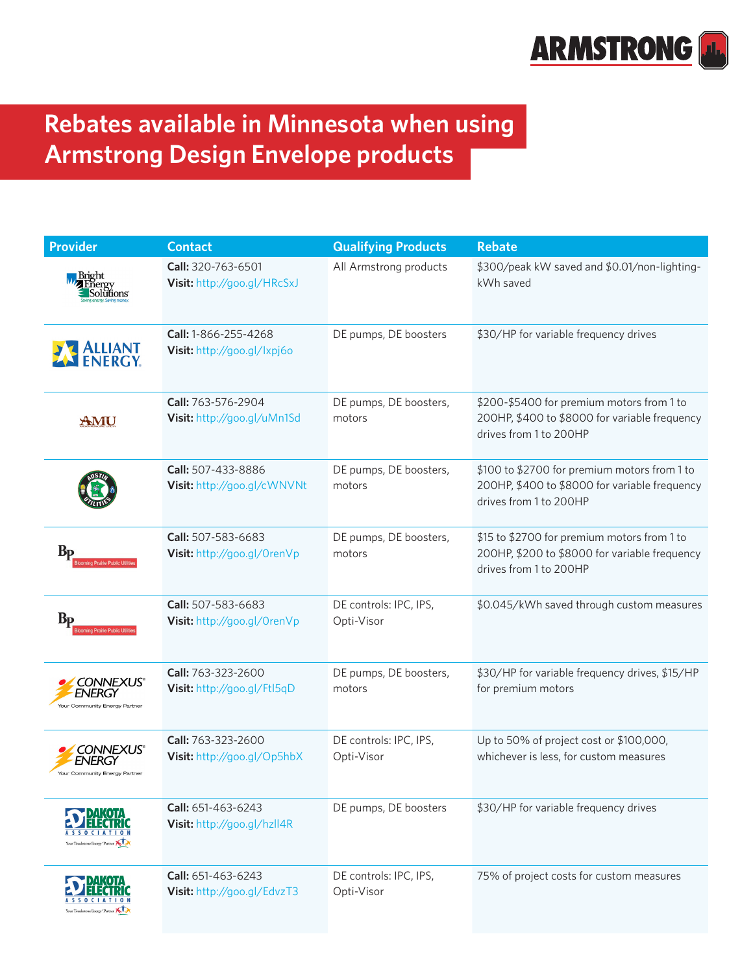

## **Rebates available in Minnesota when using Armstrong Design Envelope products**

| <b>Provider</b>                                             | <b>Contact</b>                                      | <b>Qualifying Products</b>           | <b>Rebate</b>                                                                                                           |
|-------------------------------------------------------------|-----------------------------------------------------|--------------------------------------|-------------------------------------------------------------------------------------------------------------------------|
|                                                             | Call: 320-763-6501<br>Visit: http://goo.gl/HRcSxJ   | All Armstrong products               | \$300/peak kW saved and \$0.01/non-lighting-<br>kWh saved                                                               |
| <b>ALLIANT</b><br>FNERGY.                                   | Call: 1-866-255-4268<br>Visit: http://goo.gl/lxpj6o | DE pumps, DE boosters                | \$30/HP for variable frequency drives                                                                                   |
| AMU                                                         | Call: 763-576-2904<br>Visit: http://goo.gl/uMn1Sd   | DE pumps, DE boosters,<br>motors     | \$200-\$5400 for premium motors from 1 to<br>200HP, \$400 to \$8000 for variable frequency<br>drives from 1 to 200HP    |
|                                                             | Call: 507-433-8886<br>Visit: http://goo.gl/cWNVNt   | DE pumps, DE boosters,<br>motors     | \$100 to \$2700 for premium motors from 1 to<br>200HP, \$400 to \$8000 for variable frequency<br>drives from 1 to 200HP |
| Bр<br>a Prairie Public L                                    | Call: 507-583-6683<br>Visit: http://goo.gl/OrenVp   | DE pumps, DE boosters,<br>motors     | \$15 to \$2700 for premium motors from 1 to<br>200HP, \$200 to \$8000 for variable frequency<br>drives from 1 to 200HP  |
| B <sub>D</sub>                                              | Call: 507-583-6683<br>Visit: http://goo.gl/OrenVp   | DE controls: IPC, IPS,<br>Opti-Visor | \$0.045/kWh saved through custom measures                                                                               |
| <i>CONNEXUS®</i><br>ENERGY<br>Your Community Energy Partner | Call: 763-323-2600<br>Visit: http://goo.gl/Ftl5qD   | DE pumps, DE boosters,<br>motors     | \$30/HP for variable frequency drives, \$15/HP<br>for premium motors                                                    |
| <b>ONNEXUS®</b><br>Your Community Energy Partner            | Call: 763-323-2600<br>Visit: http://goo.gl/Op5hbX   | DE controls: IPC, IPS,<br>Opti-Visor | Up to 50% of project cost or \$100,000,<br>whichever is less, for custom measures                                       |
| Your Touchstone Energy <sup>*</sup> Partner                 | Call: 651-463-6243<br>Visit: http://goo.gl/hzll4R   | DE pumps, DE boosters                | \$30/HP for variable frequency drives                                                                                   |
| Your Touchstone Energy <sup>®</sup> Partner                 | Call: 651-463-6243<br>Visit: http://goo.gl/EdvzT3   | DE controls: IPC, IPS,<br>Opti-Visor | 75% of project costs for custom measures                                                                                |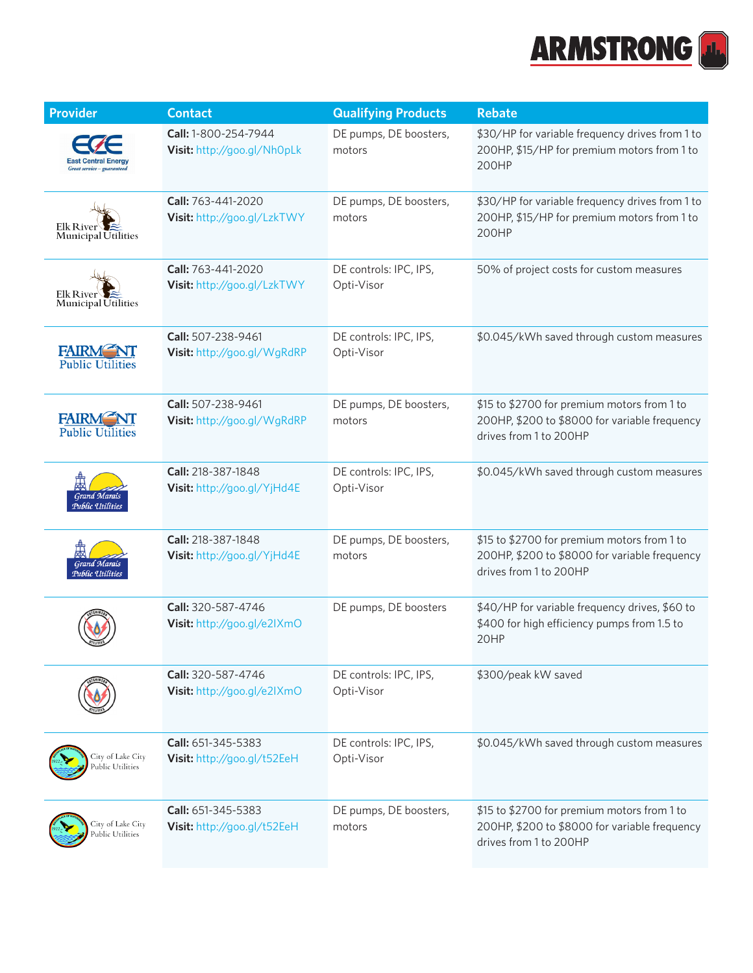

| <b>Provider</b>                                | <b>Contact</b>                                           | <b>Qualifying Products</b>           | <b>Rebate</b>                                                                                                          |
|------------------------------------------------|----------------------------------------------------------|--------------------------------------|------------------------------------------------------------------------------------------------------------------------|
| Great service - guarantee                      | Call: 1-800-254-7944<br>Visit: http://goo.gl/Nh0pLk      | DE pumps, DE boosters,<br>motors     | \$30/HP for variable frequency drives from 1 to<br>200HP, \$15/HP for premium motors from 1 to<br>200HP                |
| <b>Elk River</b><br><b>Municipal Utilities</b> | <b>Call:</b> 763-441-2020<br>Visit: http://goo.gl/LzkTWY | DE pumps, DE boosters,<br>motors     | \$30/HP for variable frequency drives from 1 to<br>200HP, \$15/HP for premium motors from 1 to<br>200HP                |
| Elk Rive<br>Municipal Utilities                | Call: 763-441-2020<br>Visit: http://goo.gl/LzkTWY        | DE controls: IPC, IPS,<br>Opti-Visor | 50% of project costs for custom measures                                                                               |
| <b>FAIRM</b><br><b>Public Utilities</b>        | Call: 507-238-9461<br>Visit: http://goo.gl/WgRdRP        | DE controls: IPC, IPS,<br>Opti-Visor | \$0.045/kWh saved through custom measures                                                                              |
| <b>FAIRM NT</b><br><b>Public Utilities</b>     | Call: 507-238-9461<br>Visit: http://goo.gl/WgRdRP        | DE pumps, DE boosters,<br>motors     | \$15 to \$2700 for premium motors from 1 to<br>200HP, \$200 to \$8000 for variable frequency<br>drives from 1 to 200HP |
| <b>Grand Marais</b><br>Public Utilities        | Call: 218-387-1848<br>Visit: http://goo.gl/YjHd4E        | DE controls: IPC, IPS,<br>Opti-Visor | \$0.045/kWh saved through custom measures                                                                              |
| <b>Grand Marais</b><br>Public Utilities        | Call: 218-387-1848<br>Visit: http://goo.gl/YjHd4E        | DE pumps, DE boosters,<br>motors     | \$15 to \$2700 for premium motors from 1 to<br>200HP, \$200 to \$8000 for variable frequency<br>drives from 1 to 200HP |
|                                                | Call: 320-587-4746<br>Visit: http://goo.gl/e2IXmO        | DE pumps, DE boosters                | \$40/HP for variable frequency drives, \$60 to<br>\$400 for high efficiency pumps from 1.5 to<br>20HP                  |
|                                                | Call: 320-587-4746<br>Visit: http://goo.gl/e2IXmO        | DE controls: IPC, IPS,<br>Opti-Visor | \$300/peak kW saved                                                                                                    |
| City of Lake City<br>Public Utilities          | Call: 651-345-5383<br>Visit: http://goo.gl/t52EeH        | DE controls: IPC, IPS,<br>Opti-Visor | \$0.045/kWh saved through custom measures                                                                              |
| City of Lake City<br>ublic Utilities           | Call: 651-345-5383<br>Visit: http://goo.gl/t52EeH        | DE pumps, DE boosters,<br>motors     | \$15 to \$2700 for premium motors from 1 to<br>200HP, \$200 to \$8000 for variable frequency<br>drives from 1 to 200HP |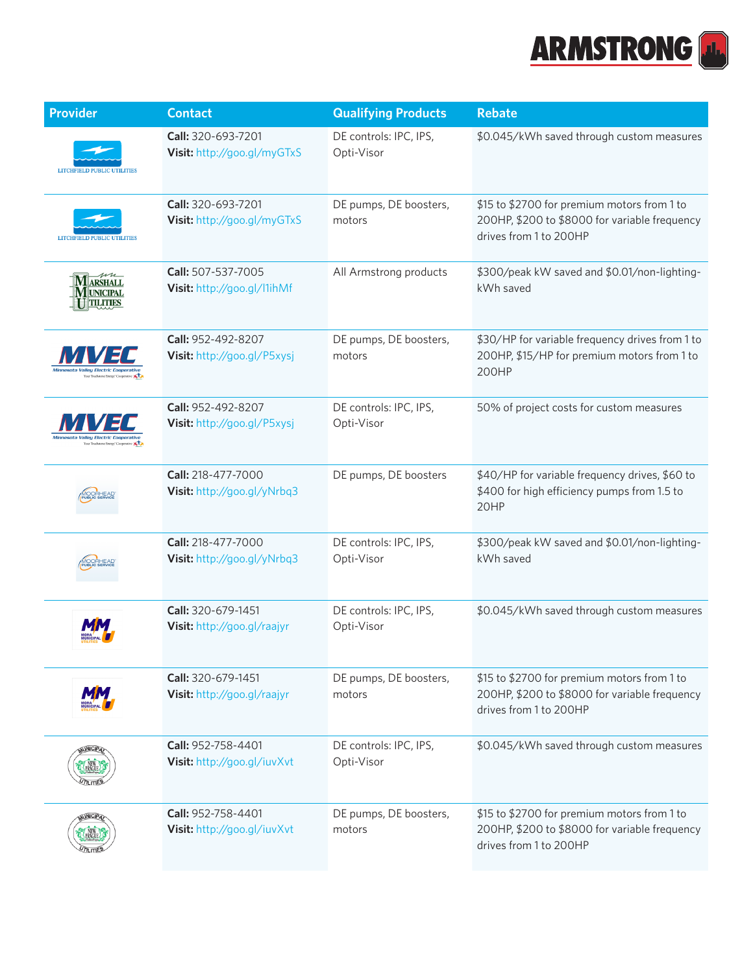

| <b>Provider</b>                                      | <b>Contact</b>                                    | <b>Qualifying Products</b>           | <b>Rebate</b>                                                                                                          |
|------------------------------------------------------|---------------------------------------------------|--------------------------------------|------------------------------------------------------------------------------------------------------------------------|
|                                                      | Call: 320-693-7201<br>Visit: http://goo.gl/myGTxS | DE controls: IPC, IPS,<br>Opti-Visor | \$0.045/kWh saved through custom measures                                                                              |
|                                                      | Call: 320-693-7201<br>Visit: http://goo.gl/myGTxS | DE pumps, DE boosters,<br>motors     | \$15 to \$2700 for premium motors from 1 to<br>200HP, \$200 to \$8000 for variable frequency<br>drives from 1 to 200HP |
| <b>ARSHALL</b><br><b>UNICIPAL</b><br><b>TILITIES</b> | Call: 507-537-7005<br>Visit: http://goo.gl/l1ihMf | All Armstrong products               | \$300/peak kW saved and \$0.01/non-lighting-<br>kWh saved                                                              |
| <b>VEA</b><br>Your Touchstone Energy' Cooperativ     | Call: 952-492-8207<br>Visit: http://goo.gl/P5xysj | DE pumps, DE boosters,<br>motors     | \$30/HP for variable frequency drives from 1 to<br>200HP, \$15/HP for premium motors from 1 to<br>200HP                |
|                                                      | Call: 952-492-8207<br>Visit: http://goo.gl/P5xysj | DE controls: IPC, IPS,<br>Opti-Visor | 50% of project costs for custom measures                                                                               |
|                                                      | Call: 218-477-7000<br>Visit: http://goo.gl/yNrbq3 | DE pumps, DE boosters                | \$40/HP for variable frequency drives, \$60 to<br>\$400 for high efficiency pumps from 1.5 to<br>20HP                  |
|                                                      | Call: 218-477-7000<br>Visit: http://goo.gl/yNrbq3 | DE controls: IPC, IPS,<br>Opti-Visor | \$300/peak kW saved and \$0.01/non-lighting-<br>kWh saved                                                              |
|                                                      | Call: 320-679-1451<br>Visit: http://goo.gl/raajyr | DE controls: IPC, IPS,<br>Opti-Visor | \$0.045/kWh saved through custom measures                                                                              |
|                                                      | Call: 320-679-1451<br>Visit: http://goo.gl/raajyr | DE pumps, DE boosters,<br>motors     | \$15 to \$2700 for premium motors from 1 to<br>200HP, \$200 to \$8000 for variable frequency<br>drives from 1 to 200HP |
|                                                      | Call: 952-758-4401<br>Visit: http://goo.gl/iuvXvt | DE controls: IPC, IPS,<br>Opti-Visor | \$0.045/kWh saved through custom measures                                                                              |
|                                                      | Call: 952-758-4401<br>Visit: http://goo.gl/iuvXvt | DE pumps, DE boosters,<br>motors     | \$15 to \$2700 for premium motors from 1 to<br>200HP, \$200 to \$8000 for variable frequency<br>drives from 1 to 200HP |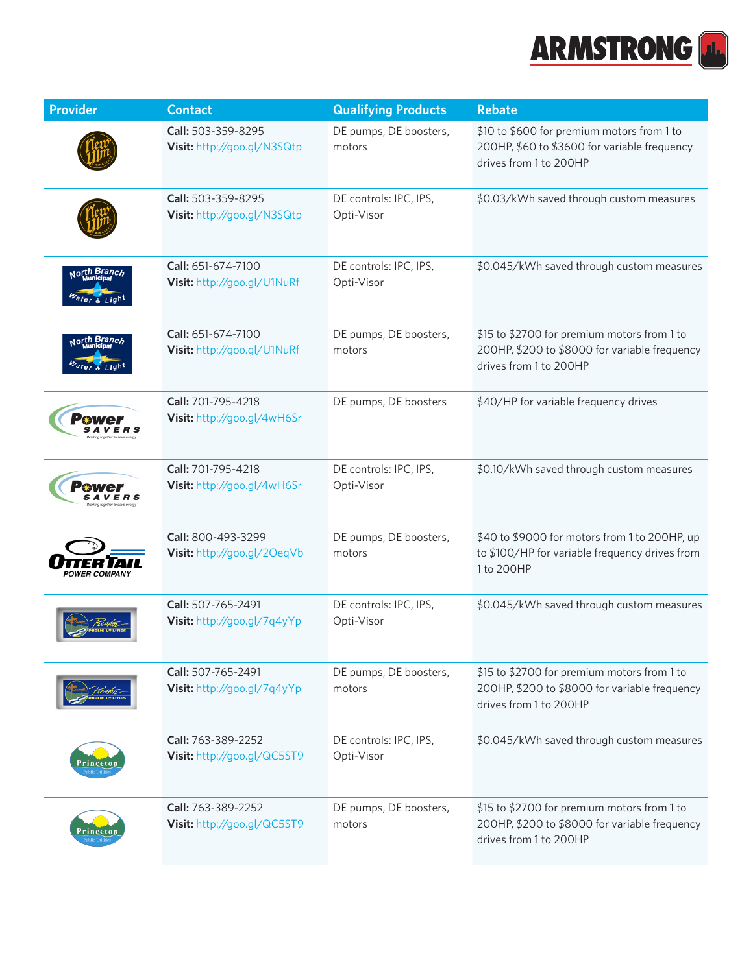

| <b>Provider</b>            | <b>Contact</b>                                    | <b>Qualifying Products</b>           | <b>Rebate</b>                                                                                                          |
|----------------------------|---------------------------------------------------|--------------------------------------|------------------------------------------------------------------------------------------------------------------------|
|                            | Call: 503-359-8295<br>Visit: http://goo.gl/N3SQtp | DE pumps, DE boosters,<br>motors     | \$10 to \$600 for premium motors from 1 to<br>200HP, \$60 to \$3600 for variable frequency<br>drives from 1 to 200HP   |
|                            | Call: 503-359-8295<br>Visit: http://goo.gl/N3SQtp | DE controls: IPC, IPS,<br>Opti-Visor | \$0.03/kWh saved through custom measures                                                                               |
| <sub>Nort</sub> h Branc    | Call: 651-674-7100<br>Visit: http://goo.gl/U1NuRf | DE controls: IPC, IPS,<br>Opti-Visor | \$0.045/kWh saved through custom measures                                                                              |
| <sub>Nor</sub> th Branch   | Call: 651-674-7100<br>Visit: http://goo.gl/U1NuRf | DE pumps, DE boosters,<br>motors     | \$15 to \$2700 for premium motors from 1 to<br>200HP, \$200 to \$8000 for variable frequency<br>drives from 1 to 200HP |
|                            | Call: 701-795-4218<br>Visit: http://goo.gl/4wH6Sr | DE pumps, DE boosters                | \$40/HP for variable frequency drives                                                                                  |
|                            | Call: 701-795-4218<br>Visit: http://goo.gl/4wH6Sr | DE controls: IPC, IPS,<br>Opti-Visor | \$0.10/kWh saved through custom measures                                                                               |
| <i><b>OWER COMPANY</b></i> | Call: 800-493-3299<br>Visit: http://goo.gl/20eqVb | DE pumps, DE boosters,<br>motors     | \$40 to \$9000 for motors from 1 to 200HP, up<br>to \$100/HP for variable frequency drives from<br>1 to 200HP          |
|                            | Call: 507-765-2491<br>Visit: http://goo.gl/7q4yYp | DE controls: IPC, IPS,<br>Opti-Visor | \$0.045/kWh saved through custom measures                                                                              |
|                            | Call: 507-765-2491<br>Visit: http://goo.gl/7q4yYp | DE pumps, DE boosters,<br>motors     | \$15 to \$2700 for premium motors from 1 to<br>200HP, \$200 to \$8000 for variable frequency<br>drives from 1 to 200HP |
|                            | Call: 763-389-2252<br>Visit: http://goo.gl/QC5ST9 | DE controls: IPC, IPS,<br>Opti-Visor | \$0.045/kWh saved through custom measures                                                                              |
|                            | Call: 763-389-2252<br>Visit: http://goo.gl/QC5ST9 | DE pumps, DE boosters,<br>motors     | \$15 to \$2700 for premium motors from 1 to<br>200HP, \$200 to \$8000 for variable frequency<br>drives from 1 to 200HP |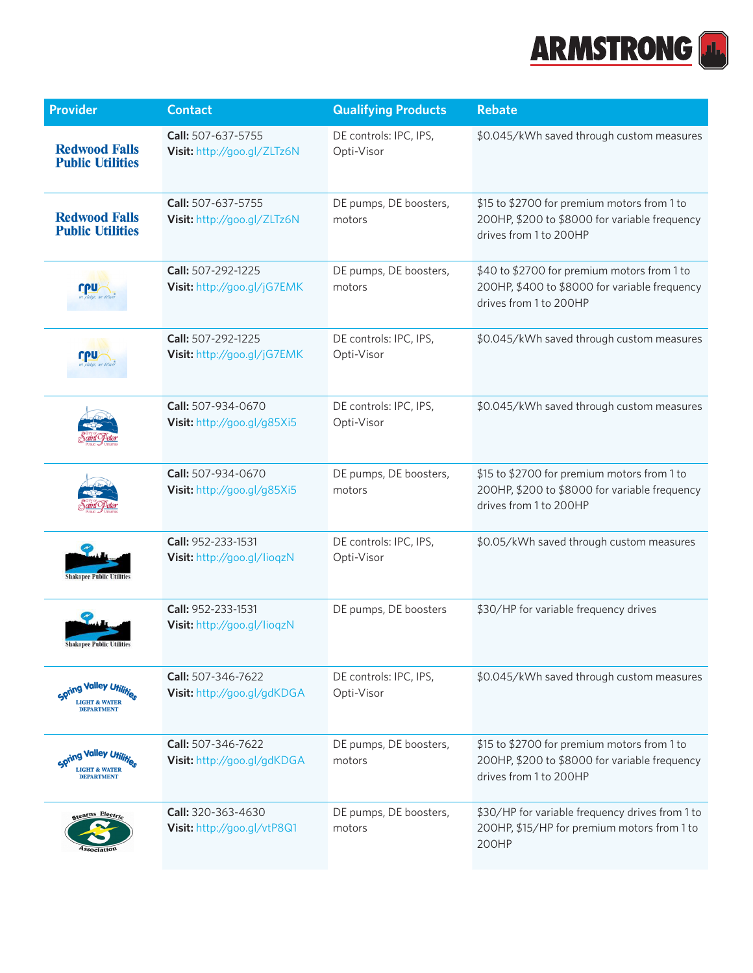

| <b>Provider</b>                                 | <b>Contact</b>                                    | <b>Qualifying Products</b>           | <b>Rebate</b>                                                                                                          |
|-------------------------------------------------|---------------------------------------------------|--------------------------------------|------------------------------------------------------------------------------------------------------------------------|
| <b>Redwood Falls</b><br><b>Public Utilities</b> | Call: 507-637-5755<br>Visit: http://goo.gl/ZLTz6N | DE controls: IPC, IPS,<br>Opti-Visor | \$0.045/kWh saved through custom measures                                                                              |
| <b>Redwood Falls</b><br><b>Public Utilities</b> | Call: 507-637-5755<br>Visit: http://goo.gl/ZLTz6N | DE pumps, DE boosters,<br>motors     | \$15 to \$2700 for premium motors from 1 to<br>200HP, \$200 to \$8000 for variable frequency<br>drives from 1 to 200HP |
|                                                 | Call: 507-292-1225<br>Visit: http://goo.gl/jG7EMK | DE pumps, DE boosters,<br>motors     | \$40 to \$2700 for premium motors from 1 to<br>200HP, \$400 to \$8000 for variable frequency<br>drives from 1 to 200HP |
|                                                 | Call: 507-292-1225<br>Visit: http://goo.gl/jG7EMK | DE controls: IPC, IPS,<br>Opti-Visor | \$0.045/kWh saved through custom measures                                                                              |
|                                                 | Call: 507-934-0670<br>Visit: http://goo.gl/g85Xi5 | DE controls: IPC, IPS,<br>Opti-Visor | \$0.045/kWh saved through custom measures                                                                              |
|                                                 | Call: 507-934-0670<br>Visit: http://goo.gl/g85Xi5 | DE pumps, DE boosters,<br>motors     | \$15 to \$2700 for premium motors from 1 to<br>200HP, \$200 to \$8000 for variable frequency<br>drives from 1 to 200HP |
| Shakopee Public Utilities                       | Call: 952-233-1531<br>Visit: http://goo.gl/lioqzN | DE controls: IPC, IPS,<br>Opti-Visor | \$0.05/kWh saved through custom measures                                                                               |
| <b>Shakopee Public Util</b>                     | Call: 952-233-1531<br>Visit: http://goo.gl/lioqzN | DE pumps, DE boosters                | \$30/HP for variable frequency drives                                                                                  |
| <b>Spring Valley Util</b><br><b>DEPARTMENT</b>  | Call: 507-346-7622<br>Visit: http://goo.gl/gdKDGA | DE controls: IPC, IPS,<br>Opti-Visor | \$0.045/kWh saved through custom measures                                                                              |
| ing Valley L<br><b>DEPARTMENT</b>               | Call: 507-346-7622<br>Visit: http://goo.gl/gdKDGA | DE pumps, DE boosters,<br>motors     | \$15 to \$2700 for premium motors from 1 to<br>200HP, \$200 to \$8000 for variable frequency<br>drives from 1 to 200HP |
| stearns Electric                                | Call: 320-363-4630<br>Visit: http://goo.gl/vtP8Q1 | DE pumps, DE boosters,<br>motors     | \$30/HP for variable frequency drives from 1 to<br>200HP, \$15/HP for premium motors from 1 to<br>200HP                |